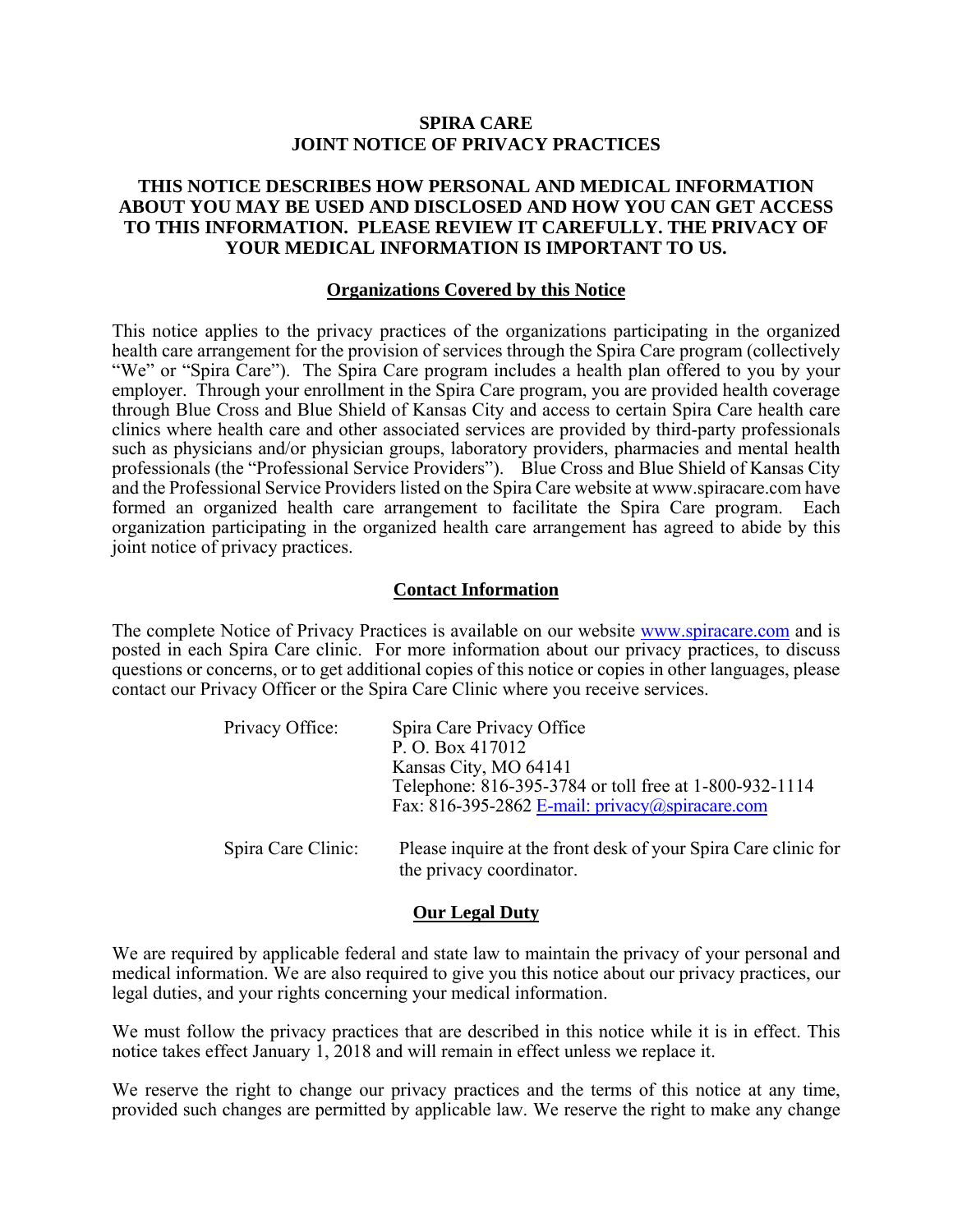#### **SPIRA CARE JOINT NOTICE OF PRIVACY PRACTICES**

#### **THIS NOTICE DESCRIBES HOW PERSONAL AND MEDICAL INFORMATION ABOUT YOU MAY BE USED AND DISCLOSED AND HOW YOU CAN GET ACCESS TO THIS INFORMATION. PLEASE REVIEW IT CAREFULLY. THE PRIVACY OF YOUR MEDICAL INFORMATION IS IMPORTANT TO US.**

#### **Organizations Covered by this Notice**

This notice applies to the privacy practices of the organizations participating in the organized health care arrangement for the provision of services through the Spira Care program (collectively "We" or "Spira Care"). The Spira Care program includes a health plan offered to you by your employer. Through your enrollment in the Spira Care program, you are provided health coverage through Blue Cross and Blue Shield of Kansas City and access to certain Spira Care health care clinics where health care and other associated services are provided by third-party professionals such as physicians and/or physician groups, laboratory providers, pharmacies and mental health professionals (the "Professional Service Providers"). Blue Cross and Blue Shield of Kansas City and the Professional Service Providers listed on the Spira Care website at www.spiracare.com have formed an organized health care arrangement to facilitate the Spira Care program. Each organization participating in the organized health care arrangement has agreed to abide by this joint notice of privacy practices.

#### **Contact Information**

The complete Notice of Privacy Practices is available on our website www.spiracare.com and is posted in each Spira Care clinic. For more information about our privacy practices, to discuss questions or concerns, or to get additional copies of this notice or copies in other languages, please contact our Privacy Officer or the Spira Care Clinic where you receive services.

| Privacy Office:    | Spira Care Privacy Office<br>P. O. Box 417012<br>Kansas City, MO 64141<br>Telephone: 816-395-3784 or toll free at 1-800-932-1114<br>Fax: 816-395-2862 E-mail: privacy@spiracare.com |
|--------------------|-------------------------------------------------------------------------------------------------------------------------------------------------------------------------------------|
| Spira Care Clinic: | Please inquire at the front desk of your Spira Care clinic for<br>the privacy coordinator.                                                                                          |

#### **Our Legal Duty**

We are required by applicable federal and state law to maintain the privacy of your personal and medical information. We are also required to give you this notice about our privacy practices, our legal duties, and your rights concerning your medical information.

We must follow the privacy practices that are described in this notice while it is in effect. This notice takes effect January 1, 2018 and will remain in effect unless we replace it.

We reserve the right to change our privacy practices and the terms of this notice at any time, provided such changes are permitted by applicable law. We reserve the right to make any change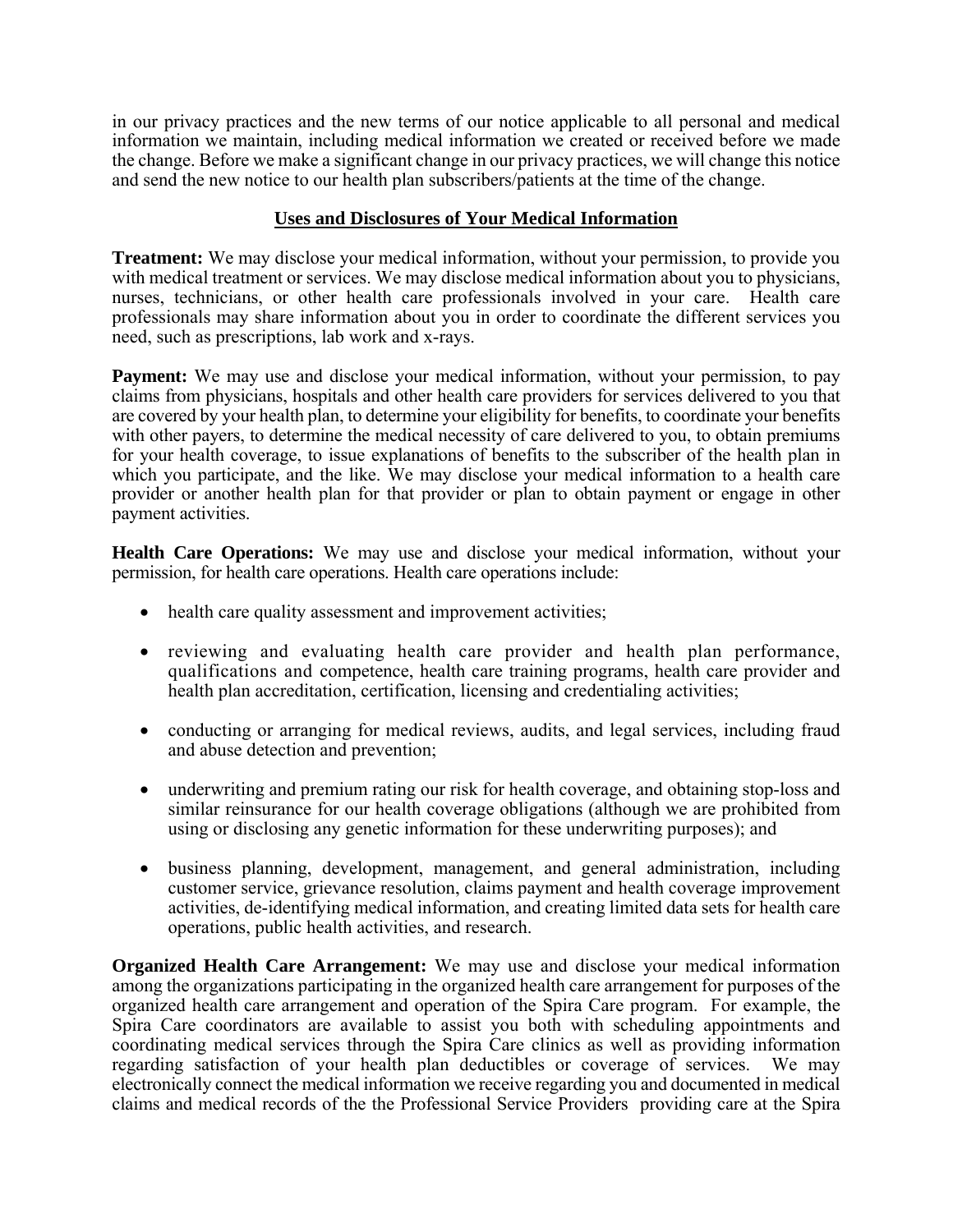in our privacy practices and the new terms of our notice applicable to all personal and medical information we maintain, including medical information we created or received before we made the change. Before we make a significant change in our privacy practices, we will change this notice and send the new notice to our health plan subscribers/patients at the time of the change.

## **Uses and Disclosures of Your Medical Information**

**Treatment:** We may disclose your medical information, without your permission, to provide you with medical treatment or services. We may disclose medical information about you to physicians, nurses, technicians, or other health care professionals involved in your care. Health care professionals may share information about you in order to coordinate the different services you need, such as prescriptions, lab work and x-rays.

**Payment:** We may use and disclose your medical information, without your permission, to pay claims from physicians, hospitals and other health care providers for services delivered to you that are covered by your health plan, to determine your eligibility for benefits, to coordinate your benefits with other payers, to determine the medical necessity of care delivered to you, to obtain premiums for your health coverage, to issue explanations of benefits to the subscriber of the health plan in which you participate, and the like. We may disclose your medical information to a health care provider or another health plan for that provider or plan to obtain payment or engage in other payment activities.

**Health Care Operations:** We may use and disclose your medical information, without your permission, for health care operations. Health care operations include:

- health care quality assessment and improvement activities;
- reviewing and evaluating health care provider and health plan performance, qualifications and competence, health care training programs, health care provider and health plan accreditation, certification, licensing and credentialing activities;
- conducting or arranging for medical reviews, audits, and legal services, including fraud and abuse detection and prevention;
- underwriting and premium rating our risk for health coverage, and obtaining stop-loss and similar reinsurance for our health coverage obligations (although we are prohibited from using or disclosing any genetic information for these underwriting purposes); and
- business planning, development, management, and general administration, including customer service, grievance resolution, claims payment and health coverage improvement activities, de-identifying medical information, and creating limited data sets for health care operations, public health activities, and research.

**Organized Health Care Arrangement:** We may use and disclose your medical information among the organizations participating in the organized health care arrangement for purposes of the organized health care arrangement and operation of the Spira Care program. For example, the Spira Care coordinators are available to assist you both with scheduling appointments and coordinating medical services through the Spira Care clinics as well as providing information regarding satisfaction of your health plan deductibles or coverage of services. We may electronically connect the medical information we receive regarding you and documented in medical claims and medical records of the the Professional Service Providers providing care at the Spira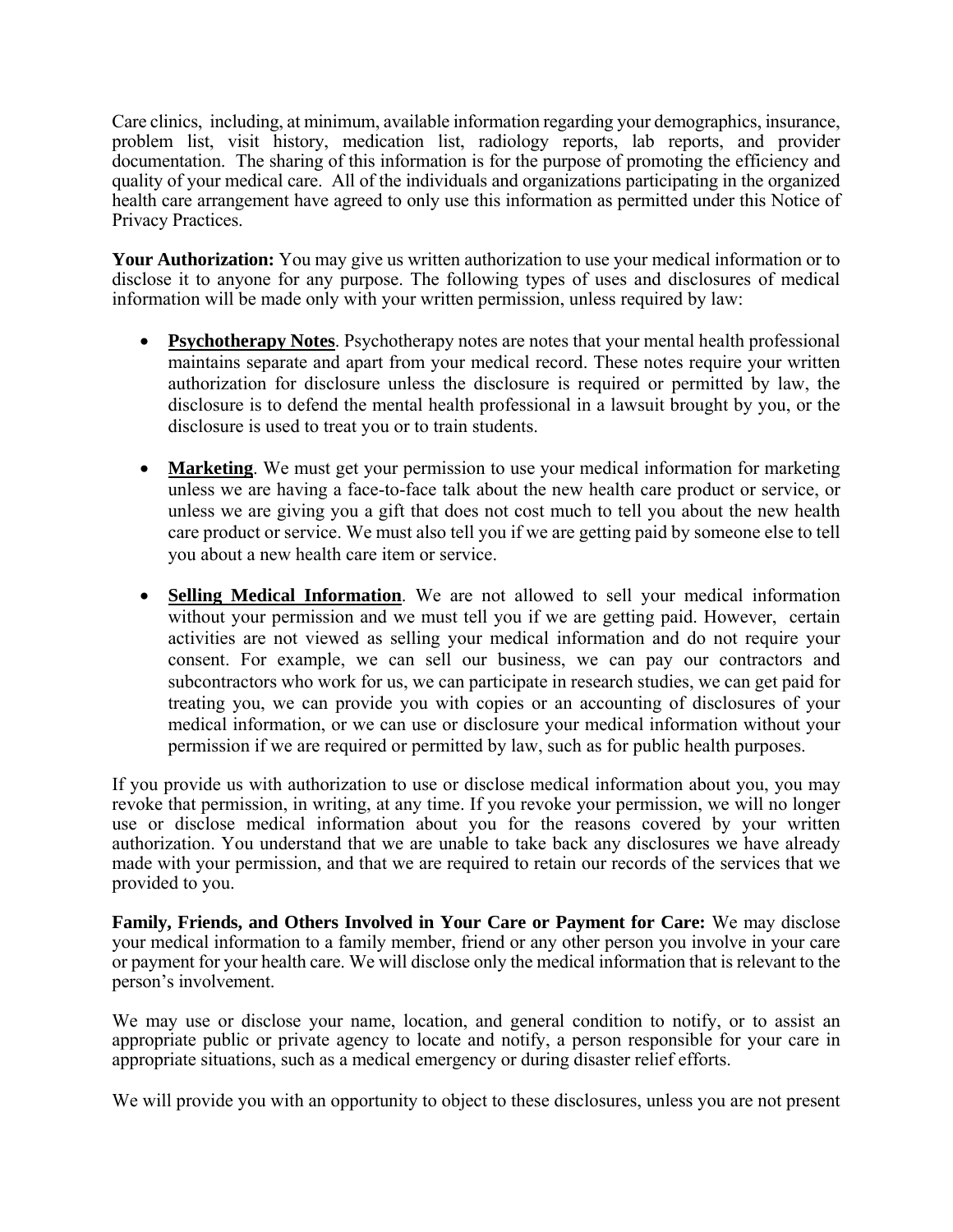Care clinics, including, at minimum, available information regarding your demographics, insurance, problem list, visit history, medication list, radiology reports, lab reports, and provider documentation. The sharing of this information is for the purpose of promoting the efficiency and quality of your medical care. All of the individuals and organizations participating in the organized health care arrangement have agreed to only use this information as permitted under this Notice of Privacy Practices.

**Your Authorization:** You may give us written authorization to use your medical information or to disclose it to anyone for any purpose. The following types of uses and disclosures of medical information will be made only with your written permission, unless required by law:

- **Psychotherapy Notes**. Psychotherapy notes are notes that your mental health professional maintains separate and apart from your medical record. These notes require your written authorization for disclosure unless the disclosure is required or permitted by law, the disclosure is to defend the mental health professional in a lawsuit brought by you, or the disclosure is used to treat you or to train students.
- **Marketing**. We must get your permission to use your medical information for marketing unless we are having a face-to-face talk about the new health care product or service, or unless we are giving you a gift that does not cost much to tell you about the new health care product or service. We must also tell you if we are getting paid by someone else to tell you about a new health care item or service.
- **Selling Medical Information**. We are not allowed to sell your medical information without your permission and we must tell you if we are getting paid. However, certain activities are not viewed as selling your medical information and do not require your consent. For example, we can sell our business, we can pay our contractors and subcontractors who work for us, we can participate in research studies, we can get paid for treating you, we can provide you with copies or an accounting of disclosures of your medical information, or we can use or disclosure your medical information without your permission if we are required or permitted by law, such as for public health purposes.

If you provide us with authorization to use or disclose medical information about you, you may revoke that permission, in writing, at any time. If you revoke your permission, we will no longer use or disclose medical information about you for the reasons covered by your written authorization. You understand that we are unable to take back any disclosures we have already made with your permission, and that we are required to retain our records of the services that we provided to you.

**Family, Friends, and Others Involved in Your Care or Payment for Care:** We may disclose your medical information to a family member, friend or any other person you involve in your care or payment for your health care. We will disclose only the medical information that is relevant to the person's involvement.

We may use or disclose your name, location, and general condition to notify, or to assist an appropriate public or private agency to locate and notify, a person responsible for your care in appropriate situations, such as a medical emergency or during disaster relief efforts.

We will provide you with an opportunity to object to these disclosures, unless you are not present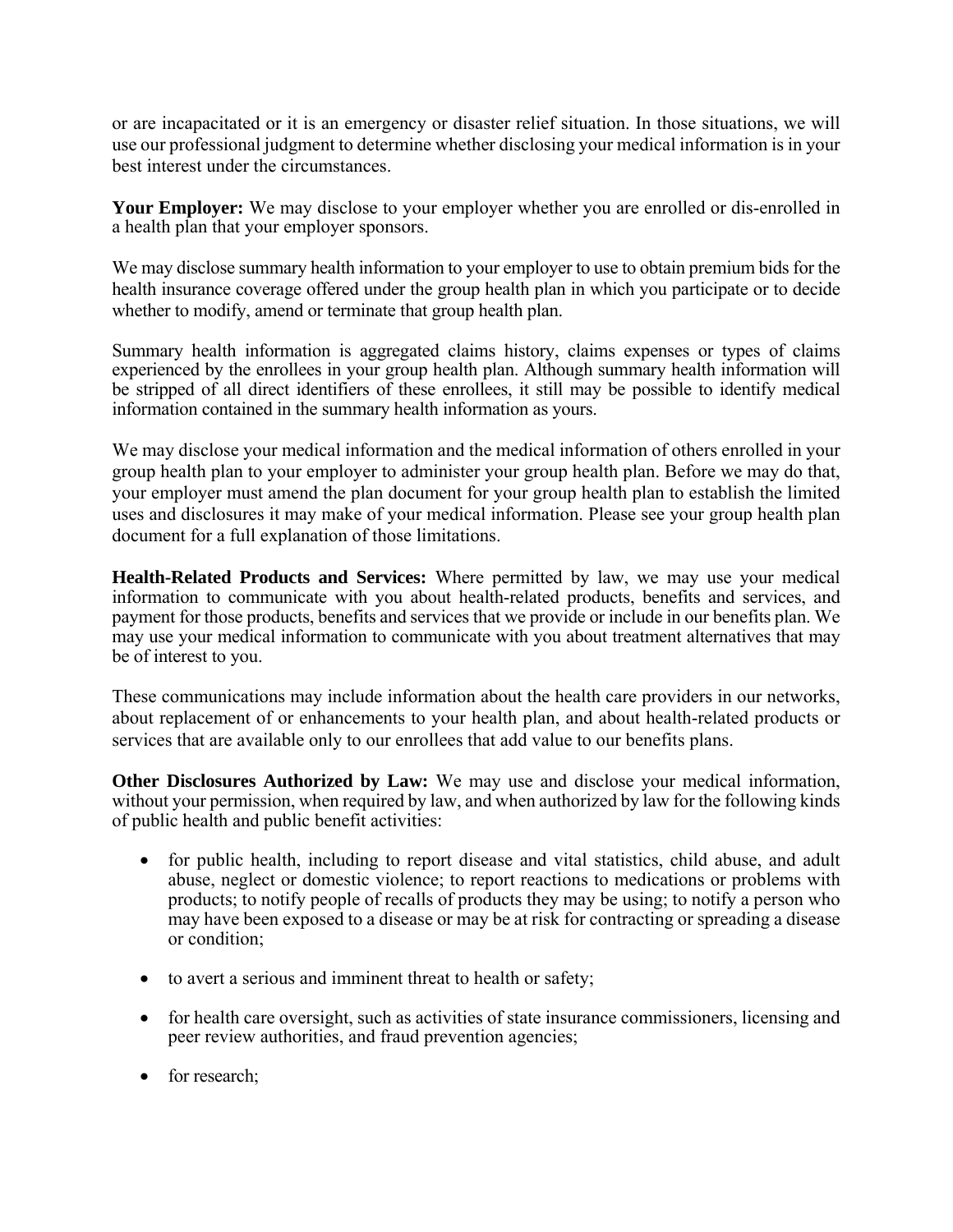or are incapacitated or it is an emergency or disaster relief situation. In those situations, we will use our professional judgment to determine whether disclosing your medical information is in your best interest under the circumstances.

Your Employer: We may disclose to your employer whether you are enrolled or dis-enrolled in a health plan that your employer sponsors.

We may disclose summary health information to your employer to use to obtain premium bids for the health insurance coverage offered under the group health plan in which you participate or to decide whether to modify, amend or terminate that group health plan.

Summary health information is aggregated claims history, claims expenses or types of claims experienced by the enrollees in your group health plan. Although summary health information will be stripped of all direct identifiers of these enrollees, it still may be possible to identify medical information contained in the summary health information as yours.

We may disclose your medical information and the medical information of others enrolled in your group health plan to your employer to administer your group health plan. Before we may do that, your employer must amend the plan document for your group health plan to establish the limited uses and disclosures it may make of your medical information. Please see your group health plan document for a full explanation of those limitations.

**Health-Related Products and Services:** Where permitted by law, we may use your medical information to communicate with you about health-related products, benefits and services, and payment for those products, benefits and services that we provide or include in our benefits plan. We may use your medical information to communicate with you about treatment alternatives that may be of interest to you.

These communications may include information about the health care providers in our networks, about replacement of or enhancements to your health plan, and about health-related products or services that are available only to our enrollees that add value to our benefits plans.

**Other Disclosures Authorized by Law:** We may use and disclose your medical information, without your permission, when required by law, and when authorized by law for the following kinds of public health and public benefit activities:

- for public health, including to report disease and vital statistics, child abuse, and adult abuse, neglect or domestic violence; to report reactions to medications or problems with products; to notify people of recalls of products they may be using; to notify a person who may have been exposed to a disease or may be at risk for contracting or spreading a disease or condition;
- to avert a serious and imminent threat to health or safety;
- for health care oversight, such as activities of state insurance commissioners, licensing and peer review authorities, and fraud prevention agencies;
- for research;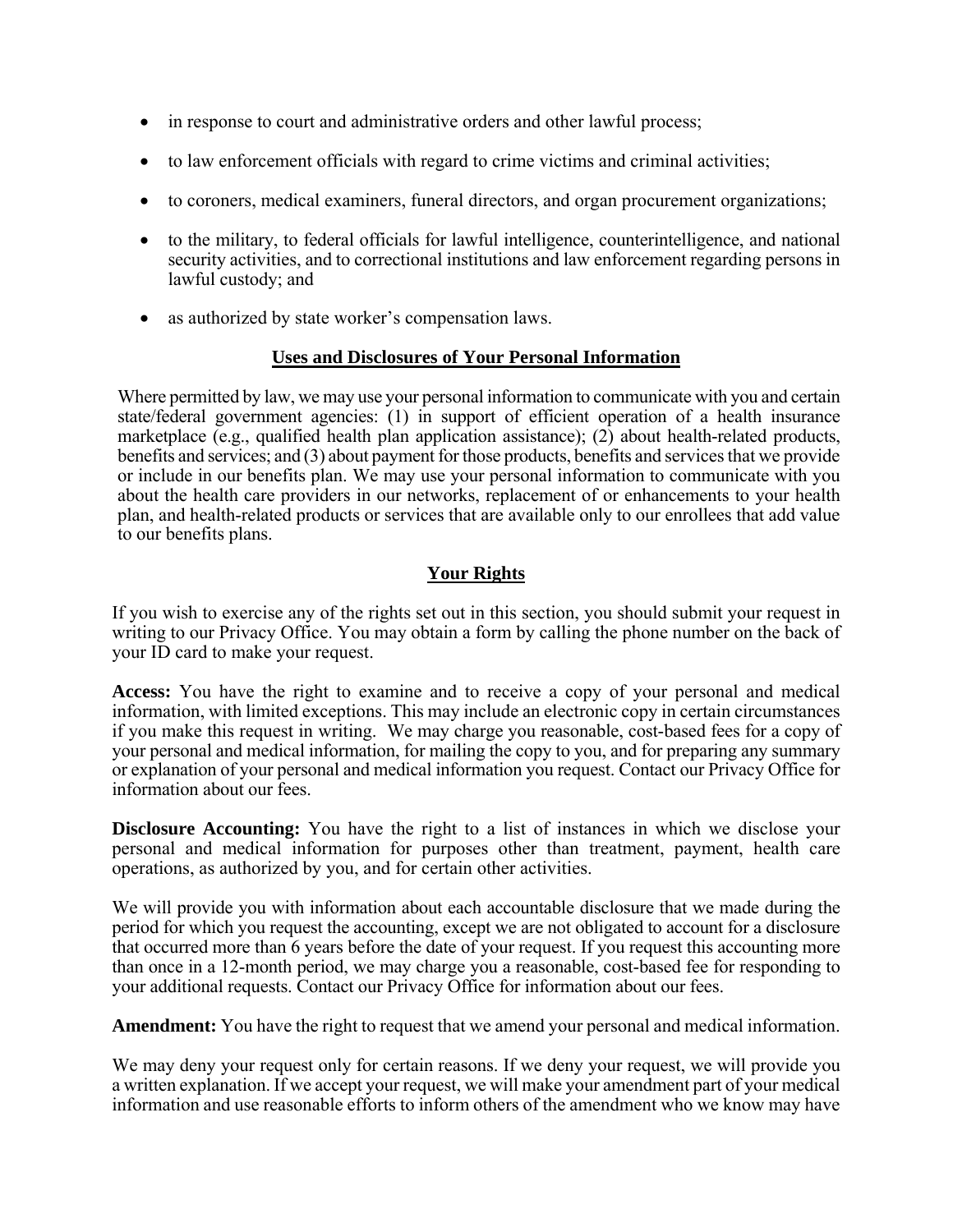- in response to court and administrative orders and other lawful process;
- to law enforcement officials with regard to crime victims and criminal activities;
- to coroners, medical examiners, funeral directors, and organ procurement organizations;
- to the military, to federal officials for lawful intelligence, counterintelligence, and national security activities, and to correctional institutions and law enforcement regarding persons in lawful custody; and
- as authorized by state worker's compensation laws.

### **Uses and Disclosures of Your Personal Information**

Where permitted by law, we may use your personal information to communicate with you and certain state/federal government agencies: (1) in support of efficient operation of a health insurance marketplace (e.g., qualified health plan application assistance); (2) about health-related products, benefits and services; and (3) about payment for those products, benefits and services that we provide or include in our benefits plan. We may use your personal information to communicate with you about the health care providers in our networks, replacement of or enhancements to your health plan, and health-related products or services that are available only to our enrollees that add value to our benefits plans.

# **Your Rights**

If you wish to exercise any of the rights set out in this section, you should submit your request in writing to our Privacy Office. You may obtain a form by calling the phone number on the back of your ID card to make your request.

**Access:** You have the right to examine and to receive a copy of your personal and medical information, with limited exceptions. This may include an electronic copy in certain circumstances if you make this request in writing. We may charge you reasonable, cost-based fees for a copy of your personal and medical information, for mailing the copy to you, and for preparing any summary or explanation of your personal and medical information you request. Contact our Privacy Office for information about our fees.

**Disclosure Accounting:** You have the right to a list of instances in which we disclose your personal and medical information for purposes other than treatment, payment, health care operations, as authorized by you, and for certain other activities.

We will provide you with information about each accountable disclosure that we made during the period for which you request the accounting, except we are not obligated to account for a disclosure that occurred more than 6 years before the date of your request. If you request this accounting more than once in a 12-month period, we may charge you a reasonable, cost-based fee for responding to your additional requests. Contact our Privacy Office for information about our fees.

**Amendment:** You have the right to request that we amend your personal and medical information.

We may deny your request only for certain reasons. If we deny your request, we will provide you a written explanation. If we accept your request, we will make your amendment part of your medical information and use reasonable efforts to inform others of the amendment who we know may have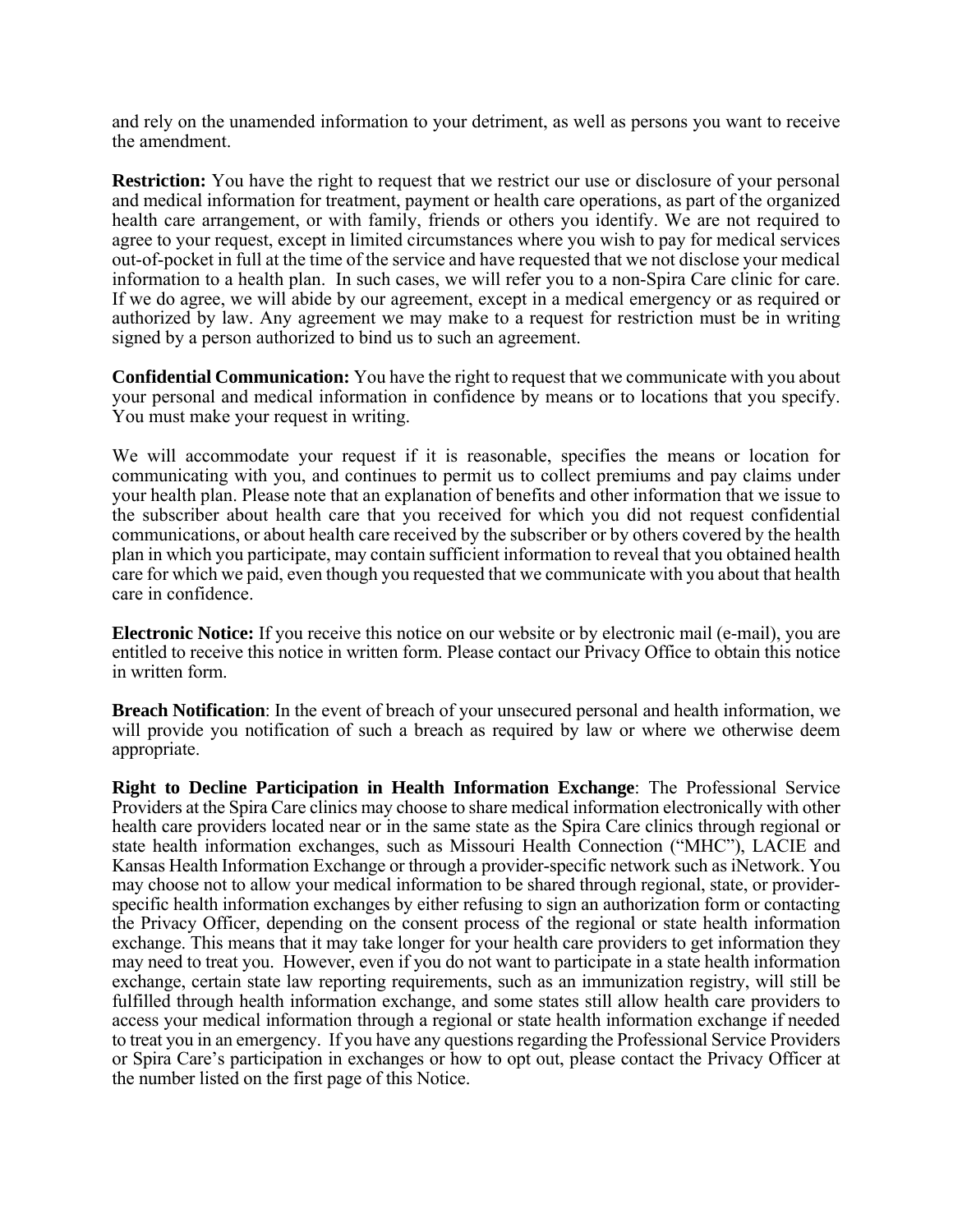and rely on the unamended information to your detriment, as well as persons you want to receive the amendment.

**Restriction:** You have the right to request that we restrict our use or disclosure of your personal and medical information for treatment, payment or health care operations, as part of the organized health care arrangement, or with family, friends or others you identify. We are not required to agree to your request, except in limited circumstances where you wish to pay for medical services out-of-pocket in full at the time of the service and have requested that we not disclose your medical information to a health plan. In such cases, we will refer you to a non-Spira Care clinic for care. If we do agree, we will abide by our agreement, except in a medical emergency or as required or authorized by law. Any agreement we may make to a request for restriction must be in writing signed by a person authorized to bind us to such an agreement.

**Confidential Communication:** You have the right to request that we communicate with you about your personal and medical information in confidence by means or to locations that you specify. You must make your request in writing.

We will accommodate your request if it is reasonable, specifies the means or location for communicating with you, and continues to permit us to collect premiums and pay claims under your health plan. Please note that an explanation of benefits and other information that we issue to the subscriber about health care that you received for which you did not request confidential communications, or about health care received by the subscriber or by others covered by the health plan in which you participate, may contain sufficient information to reveal that you obtained health care for which we paid, even though you requested that we communicate with you about that health care in confidence.

**Electronic Notice:** If you receive this notice on our website or by electronic mail (e-mail), you are entitled to receive this notice in written form. Please contact our Privacy Office to obtain this notice in written form.

**Breach Notification**: In the event of breach of your unsecured personal and health information, we will provide you notification of such a breach as required by law or where we otherwise deem appropriate.

**Right to Decline Participation in Health Information Exchange**: The Professional Service Providers at the Spira Care clinics may choose to share medical information electronically with other health care providers located near or in the same state as the Spira Care clinics through regional or state health information exchanges, such as Missouri Health Connection ("MHC"), LACIE and Kansas Health Information Exchange or through a provider-specific network such as iNetwork. You may choose not to allow your medical information to be shared through regional, state, or providerspecific health information exchanges by either refusing to sign an authorization form or contacting the Privacy Officer, depending on the consent process of the regional or state health information exchange. This means that it may take longer for your health care providers to get information they may need to treat you. However, even if you do not want to participate in a state health information exchange, certain state law reporting requirements, such as an immunization registry, will still be fulfilled through health information exchange, and some states still allow health care providers to access your medical information through a regional or state health information exchange if needed to treat you in an emergency. If you have any questions regarding the Professional Service Providers or Spira Care's participation in exchanges or how to opt out, please contact the Privacy Officer at the number listed on the first page of this Notice.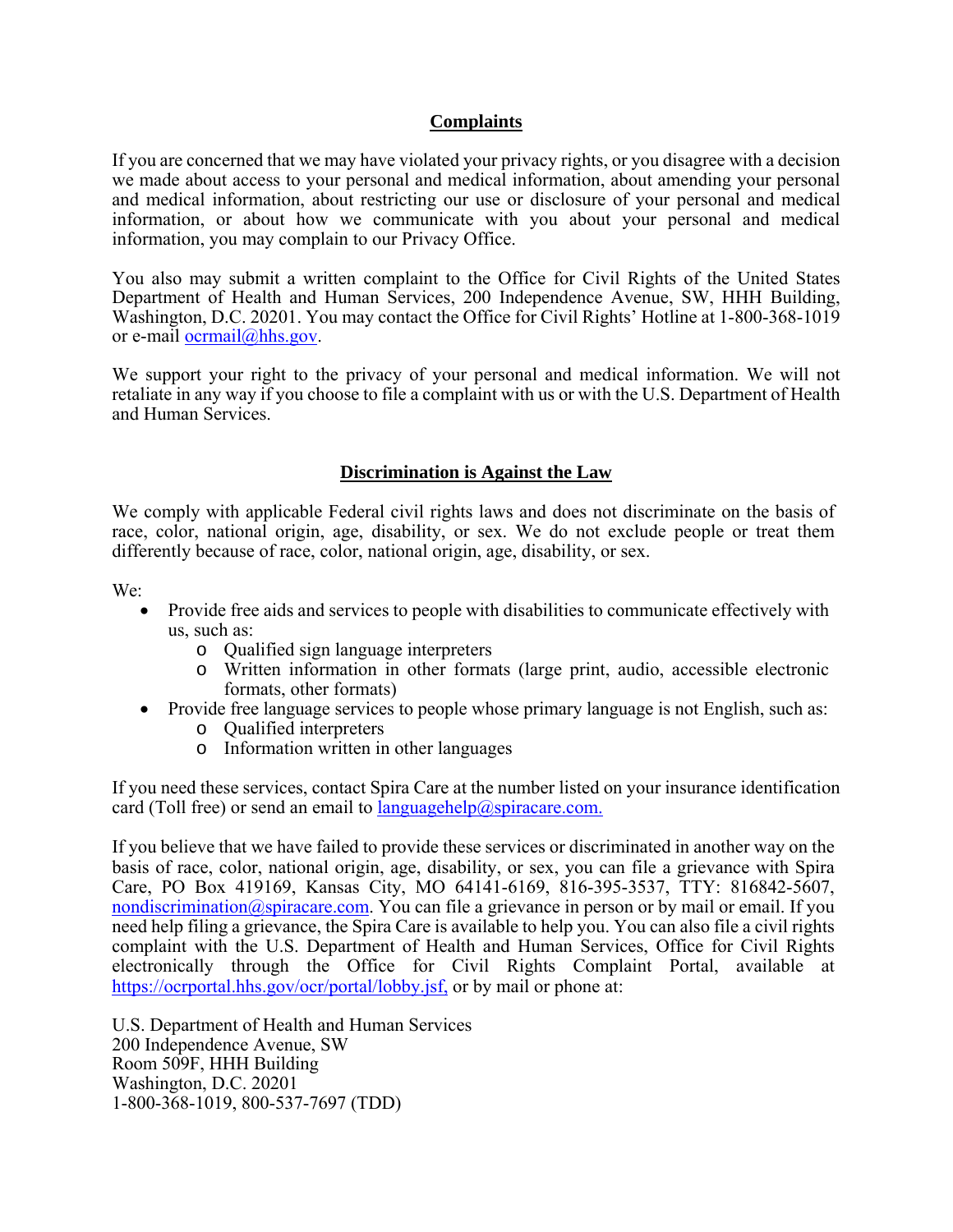### **Complaints**

If you are concerned that we may have violated your privacy rights, or you disagree with a decision we made about access to your personal and medical information, about amending your personal and medical information, about restricting our use or disclosure of your personal and medical information, or about how we communicate with you about your personal and medical information, you may complain to our Privacy Office.

You also may submit a written complaint to the Office for Civil Rights of the United States Department of Health and Human Services, 200 Independence Avenue, SW, HHH Building, Washington, D.C. 20201. You may contact the Office for Civil Rights' Hotline at 1-800-368-1019 or e-mail ocrmail@hhs.gov.

We support your right to the privacy of your personal and medical information. We will not retaliate in any way if you choose to file a complaint with us or with the U.S. Department of Health and Human Services.

## **Discrimination is Against the Law**

We comply with applicable Federal civil rights laws and does not discriminate on the basis of race, color, national origin, age, disability, or sex. We do not exclude people or treat them differently because of race, color, national origin, age, disability, or sex.

We:

- Provide free aids and services to people with disabilities to communicate effectively with us, such as:
	- o Qualified sign language interpreters
	- o Written information in other formats (large print, audio, accessible electronic formats, other formats)
- Provide free language services to people whose primary language is not English, such as:
	- o Qualified interpreters
	- o Information written in other languages

If you need these services, contact Spira Care at the number listed on your insurance identification card (Toll free) or send an email to languagehelp@spiracare.com.

If you believe that we have failed to provide these services or discriminated in another way on the basis of race, color, national origin, age, disability, or sex, you can file a grievance with Spira Care, PO Box 419169, Kansas City, MO 64141-6169, 816-395-3537, TTY: 816842-5607, nondiscrimination@spiracare.com. You can file a grievance in person or by mail or email. If you need help filing a grievance, the Spira Care is available to help you. You can also file a civil rights complaint with the U.S. Department of Health and Human Services, Office for Civil Rights electronically through the Office for Civil Rights Complaint Portal, available at https://ocrportal.hhs.gov/ocr/portal/lobby.jsf, or by mail or phone at:

U.S. Department of Health and Human Services 200 Independence Avenue, SW Room 509F, HHH Building Washington, D.C. 20201 1-800-368-1019, 800-537-7697 (TDD)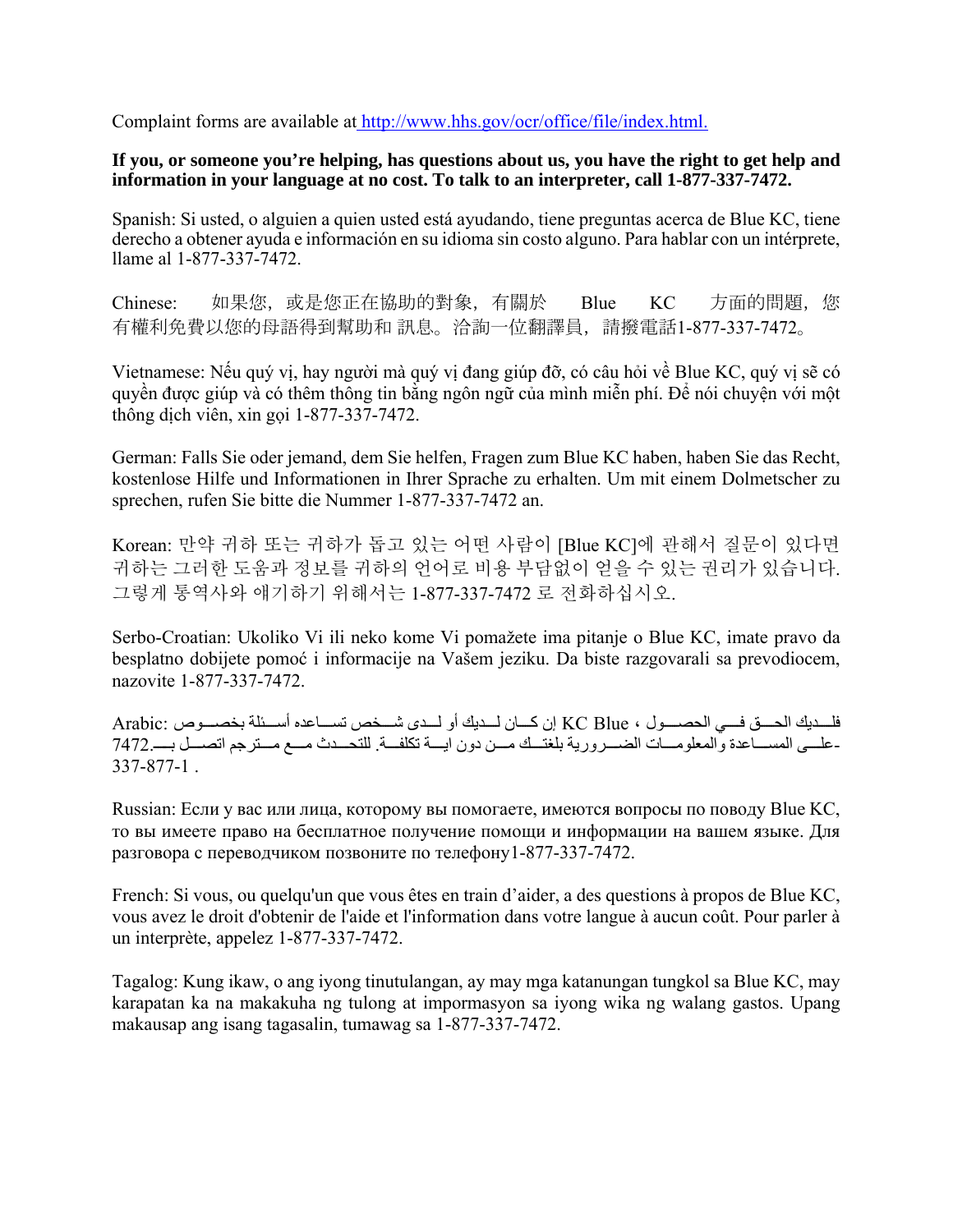Complaint forms are available at http://www.hhs.gov/ocr/office/file/index.html.

### **If you, or someone you're helping, has questions about us, you have the right to get help and information in your language at no cost. To talk to an interpreter, call 1-877-337-7472.**

Spanish: Si usted, o alguien a quien usted está ayudando, tiene preguntas acerca de Blue KC, tiene derecho a obtener ayuda e información en su idioma sin costo alguno. Para hablar con un intérprete, llame al 1-877-337-7472.

Chinese: 如果您,或是您正在協助的對象,有關於 Blue KC 方面的問題, 您 有權利免費以您的母語得到幫助和 訊息。洽詢一位翻譯員,請撥電話1-877-337-7472。

Vietnamese: Nếu quý vị, hay người mà quý vị đang giúp đỡ, có câu hỏi về Blue KC, quý vị sẽ có quyền được giúp và có thêm thông tin bằng ngôn ngữ của mình miễn phí. Để nói chuyện với một thông dịch viên, xin gọi 1-877-337-7472.

German: Falls Sie oder jemand, dem Sie helfen, Fragen zum Blue KC haben, haben Sie das Recht, kostenlose Hilfe und Informationen in Ihrer Sprache zu erhalten. Um mit einem Dolmetscher zu sprechen, rufen Sie bitte die Nummer 1-877-337-7472 an.

Korean: 만약 귀하 또는 귀하가 돕고 있는 어떤 사람이 [Blue KC]에 관해서 질문이 있다면 귀하는 그러한 도움과 정보를 귀하의 언어로 비용 부담없이 얻을 수 있는 권리가 있습니다. 그렇게 통역사와 얘기하기 위해서는 1-877-337-7472 로 전화하십시오.

Serbo-Croatian: Ukoliko Vi ili neko kome Vi pomažete ima pitanje o Blue KC, imate pravo da besplatno dobijete pomoć i informacije na Vašem jeziku. Da biste razgovarali sa prevodiocem, nazovite 1-877-337-7472.

فلسديك الحسق فسي الحصيول ، KC Blue إن كسان لسديك أو لسدي شسخص تسباعده أسسئلة بخصيوص :Arabic -علـــي المســـاعدة والمعلومـــات الضـــرورية بلغتـــك مـــن دون ايـــة تكلفـــة<sub>.</sub> للتحـــدث مـــع مـــترجم اتصـــل بـــــــــ2742.<br>337-877-1 .

Russian: Если у вас или лица, которому вы помогаете, имеются вопросы по поводу Blue KC, то вы имеете право на бесплатное получение помощи и информации на вашем языке. Для разговора с переводчиком позвоните по телефону1-877-337-7472.

French: Si vous, ou quelqu'un que vous êtes en train d'aider, a des questions à propos de Blue KC, vous avez le droit d'obtenir de l'aide et l'information dans votre langue à aucun coût. Pour parler à un interprète, appelez 1-877-337-7472.

Tagalog: Kung ikaw, o ang iyong tinutulangan, ay may mga katanungan tungkol sa Blue KC, may karapatan ka na makakuha ng tulong at impormasyon sa iyong wika ng walang gastos. Upang makausap ang isang tagasalin, tumawag sa 1-877-337-7472.